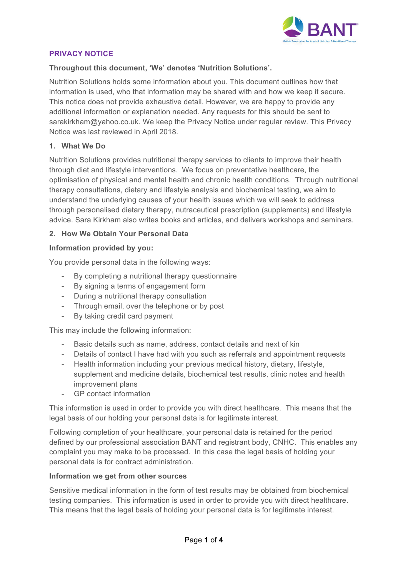

## **PRIVACY NOTICE**

### **Throughout this document, 'We' denotes 'Nutrition Solutions'.**

Nutrition Solutions holds some information about you. This document outlines how that information is used, who that information may be shared with and how we keep it secure. This notice does not provide exhaustive detail. However, we are happy to provide any additional information or explanation needed. Any requests for this should be sent to sarakirkham@yahoo.co.uk. We keep the Privacy Notice under regular review. This Privacy Notice was last reviewed in April 2018.

### **1. What We Do**

Nutrition Solutions provides nutritional therapy services to clients to improve their health through diet and lifestyle interventions. We focus on preventative healthcare, the optimisation of physical and mental health and chronic health conditions. Through nutritional therapy consultations, dietary and lifestyle analysis and biochemical testing, we aim to understand the underlying causes of your health issues which we will seek to address through personalised dietary therapy, nutraceutical prescription (supplements) and lifestyle advice. Sara Kirkham also writes books and articles, and delivers workshops and seminars.

### **2. How We Obtain Your Personal Data**

### **Information provided by you:**

You provide personal data in the following ways:

- By completing a nutritional therapy questionnaire
- By signing a terms of engagement form
- During a nutritional therapy consultation
- Through email, over the telephone or by post
- By taking credit card payment

This may include the following information:

- Basic details such as name, address, contact details and next of kin
- Details of contact I have had with you such as referrals and appointment requests
- Health information including your previous medical history, dietary, lifestyle, supplement and medicine details, biochemical test results, clinic notes and health improvement plans
- GP contact information

This information is used in order to provide you with direct healthcare. This means that the legal basis of our holding your personal data is for legitimate interest.

Following completion of your healthcare, your personal data is retained for the period defined by our professional association BANT and registrant body, CNHC. This enables any complaint you may make to be processed. In this case the legal basis of holding your personal data is for contract administration.

### **Information we get from other sources**

Sensitive medical information in the form of test results may be obtained from biochemical testing companies. This information is used in order to provide you with direct healthcare. This means that the legal basis of holding your personal data is for legitimate interest.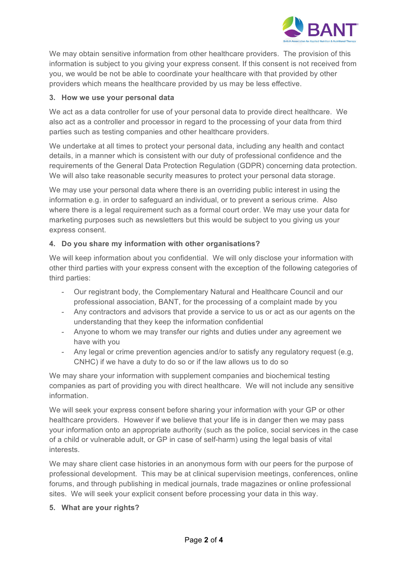

We may obtain sensitive information from other healthcare providers. The provision of this information is subject to you giving your express consent. If this consent is not received from you, we would be not be able to coordinate your healthcare with that provided by other providers which means the healthcare provided by us may be less effective.

## **3. How we use your personal data**

We act as a data controller for use of your personal data to provide direct healthcare. We also act as a controller and processor in regard to the processing of your data from third parties such as testing companies and other healthcare providers.

We undertake at all times to protect your personal data, including any health and contact details, in a manner which is consistent with our duty of professional confidence and the requirements of the General Data Protection Regulation (GDPR) concerning data protection. We will also take reasonable security measures to protect your personal data storage.

We may use your personal data where there is an overriding public interest in using the information e.g. in order to safeguard an individual, or to prevent a serious crime. Also where there is a legal requirement such as a formal court order. We may use your data for marketing purposes such as newsletters but this would be subject to you giving us your express consent.

# **4. Do you share my information with other organisations?**

We will keep information about you confidential. We will only disclose your information with other third parties with your express consent with the exception of the following categories of third parties:

- Our registrant body, the Complementary Natural and Healthcare Council and our professional association, BANT, for the processing of a complaint made by you
- Any contractors and advisors that provide a service to us or act as our agents on the understanding that they keep the information confidential
- Anyone to whom we may transfer our rights and duties under any agreement we have with you
- Any legal or crime prevention agencies and/or to satisfy any regulatory request (e.g, CNHC) if we have a duty to do so or if the law allows us to do so

We may share your information with supplement companies and biochemical testing companies as part of providing you with direct healthcare. We will not include any sensitive information.

We will seek your express consent before sharing your information with your GP or other healthcare providers. However if we believe that your life is in danger then we may pass your information onto an appropriate authority (such as the police, social services in the case of a child or vulnerable adult, or GP in case of self-harm) using the legal basis of vital interests.

We may share client case histories in an anonymous form with our peers for the purpose of professional development. This may be at clinical supervision meetings, conferences, online forums, and through publishing in medical journals, trade magazines or online professional sites. We will seek your explicit consent before processing your data in this way.

### **5. What are your rights?**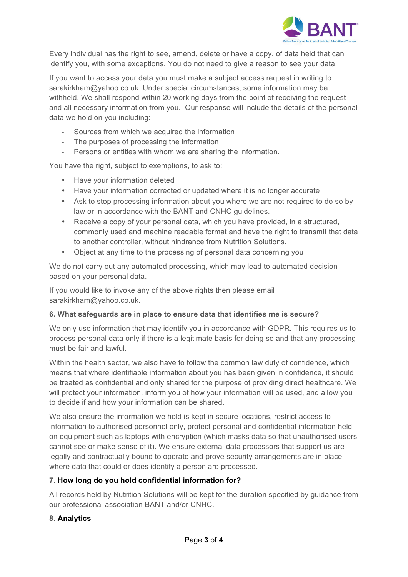

Every individual has the right to see, amend, delete or have a copy, of data held that can identify you, with some exceptions. You do not need to give a reason to see your data.

If you want to access your data you must make a subject access request in writing to sarakirkham@yahoo.co.uk. Under special circumstances, some information may be withheld. We shall respond within 20 working days from the point of receiving the request and all necessary information from you. Our response will include the details of the personal data we hold on you including:

- Sources from which we acquired the information
- The purposes of processing the information
- Persons or entities with whom we are sharing the information.

You have the right, subject to exemptions, to ask to:

- Have your information deleted
- Have your information corrected or updated where it is no longer accurate
- Ask to stop processing information about you where we are not required to do so by law or in accordance with the BANT and CNHC guidelines.
- Receive a copy of your personal data, which you have provided, in a structured, commonly used and machine readable format and have the right to transmit that data to another controller, without hindrance from Nutrition Solutions.
- Object at any time to the processing of personal data concerning you

We do not carry out any automated processing, which may lead to automated decision based on your personal data.

If you would like to invoke any of the above rights then please email sarakirkham@yahoo.co.uk.

# **6. What safeguards are in place to ensure data that identifies me is secure?**

We only use information that may identify you in accordance with GDPR. This requires us to process personal data only if there is a legitimate basis for doing so and that any processing must be fair and lawful.

Within the health sector, we also have to follow the common law duty of confidence, which means that where identifiable information about you has been given in confidence, it should be treated as confidential and only shared for the purpose of providing direct healthcare. We will protect your information, inform you of how your information will be used, and allow you to decide if and how your information can be shared.

We also ensure the information we hold is kept in secure locations, restrict access to information to authorised personnel only, protect personal and confidential information held on equipment such as laptops with encryption (which masks data so that unauthorised users cannot see or make sense of it). We ensure external data processors that support us are legally and contractually bound to operate and prove security arrangements are in place where data that could or does identify a person are processed.

# **7. How long do you hold confidential information for?**

All records held by Nutrition Solutions will be kept for the duration specified by guidance from our professional association BANT and/or CNHC.

### **8. Analytics**